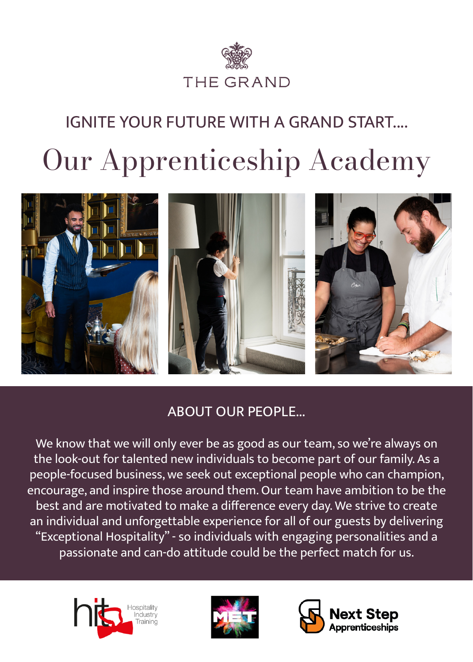

# Our Apprenticeship Academy IGNITE YOUR FUTURE WITH A GRAND START....



### ABOUT OUR PEOPLE...

We know that we will only ever be as good as our team, so we're always on the look-out for talented new individuals to become part of our family. As a people-focused business, we seek out exceptional people who can champion, encourage, and inspire those around them. Our team have ambition to be the best and are motivated to make a difference every day. We strive to create an individual and unforgettable experience for all of our guests by delivering "Exceptional Hospitality" - so individuals with engaging personalities and a passionate and can-do attitude could be the perfect match for us.